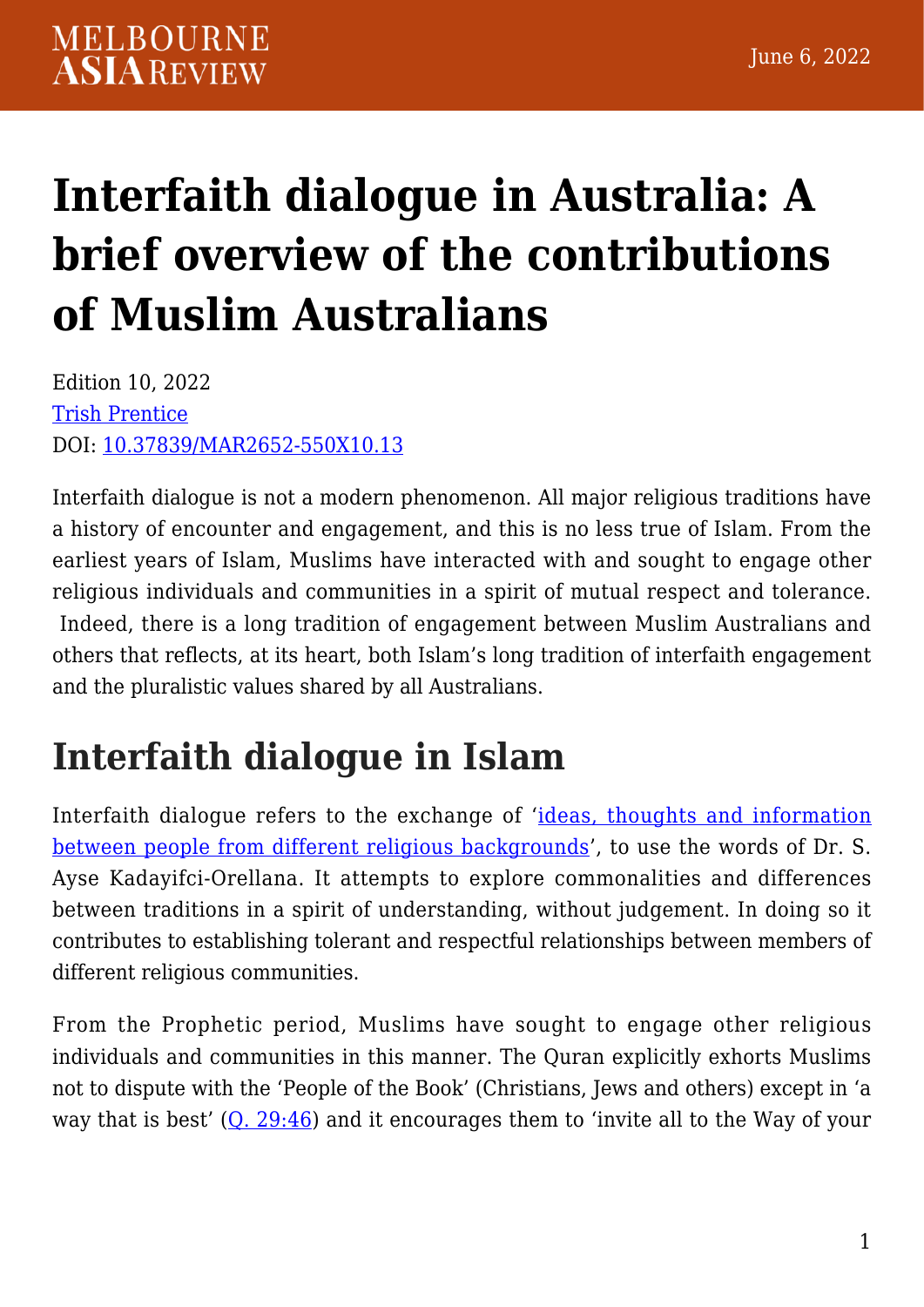# **[Interfaith dialogue in Australia: A](https://melbourneasiareview.edu.au/interfaith-dialogue-in-australia-a-brief-overview-of-the-contributions-of-muslim-australians/) [brief overview of the contributions](https://melbourneasiareview.edu.au/interfaith-dialogue-in-australia-a-brief-overview-of-the-contributions-of-muslim-australians/) [of Muslim Australians](https://melbourneasiareview.edu.au/interfaith-dialogue-in-australia-a-brief-overview-of-the-contributions-of-muslim-australians/)**

Edition 10, 2022 [Trish Prentice](https://arts.unimelb.edu.au/national-centre-for-contemporary-islamic-studies/about/staff) DOI: 10.37839/MAR2652-550X10.13

Interfaith dialogue is not a modern phenomenon. All major religious traditions have a history of encounter and engagement, and this is no less true of Islam. From the earliest years of Islam, Muslims have interacted with and sought to engage other religious individuals and communities in a spirit of mutual respect and tolerance. Indeed, there is a long tradition of engagement between Muslim Australians and others that reflects, at its heart, both Islam's long tradition of interfaith engagement and the pluralistic values shared by all Australians.

# **Interfaith dialogue in Islam**

Interfaith dialogue refers to the exchange of '[ideas, thoughts and information](https://www.worldcat.org/title/oxford-encyclopedia-of-islam-and-women/oclc/821560861) [between people from different religious backgrounds](https://www.worldcat.org/title/oxford-encyclopedia-of-islam-and-women/oclc/821560861)', to use the words of Dr. S. Ayse Kadayifci-Orellana. It attempts to explore commonalities and differences between traditions in a spirit of understanding, without judgement. In doing so it contributes to establishing tolerant and respectful relationships between members of different religious communities.

From the Prophetic period, Muslims have sought to engage other religious individuals and communities in this manner. The Quran explicitly exhorts Muslims not to dispute with the 'People of the Book' (Christians, Jews and others) except in 'a way that is best'  $(Q. 29:46)$  $(Q. 29:46)$  $(Q. 29:46)$  and it encourages them to 'invite all to the Way of your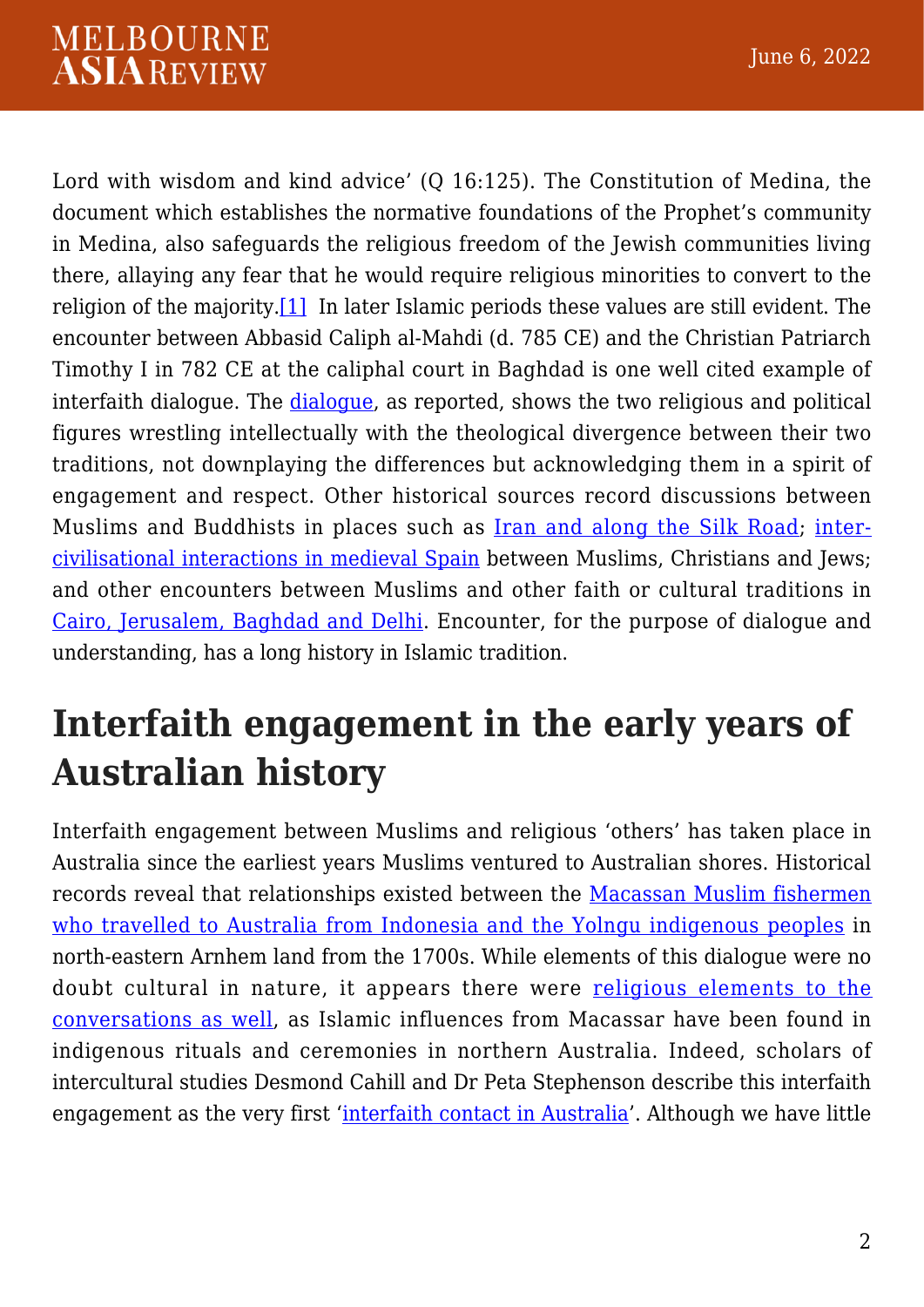#### **MELBOURNE ASIAREVIEW**

<span id="page-1-0"></span>Lord with wisdom and kind advice' (O 16:125). The Constitution of Medina, the document which establishes the normative foundations of the Prophet's community in Medina, also safeguards the religious freedom of the Jewish communities living there, allaying any fear that he would require religious minorities to convert to the religion of the majority[.\[1\]](#page-7-0) In later Islamic periods these values are still evident. The encounter between Abbasid Caliph al-Mahdi (d. 785 CE) and the Christian Patriarch Timothy I in 782 CE at the caliphal court in Baghdad is one well cited example of interfaith dialogue. The [dialogue,](https://press.uchicago.edu/ucp/books/book/distributed/P/bo25174014.html) as reported, shows the two religious and political figures wrestling intellectually with the theological divergence between their two traditions, not downplaying the differences but acknowledging them in a spirit of engagement and respect. Other historical sources record discussions between Muslims and Buddhists in places such as **[Iran and along the Silk Road](https://www.jstor.org/stable/3270172)**; [inter](http://assets.press.princeton.edu/chapters/p10098.pdf)[civilisational interactions in medieval Spain](http://assets.press.princeton.edu/chapters/p10098.pdf) between Muslims, Christians and Jews; and other encounters between Muslims and other faith or cultural traditions in [Cairo, Jerusalem, Baghdad and Delhi.](https://www.tandfonline.com/doi/abs/10.1080/09637494.2013.769740) Encounter, for the purpose of dialogue and understanding, has a long history in Islamic tradition.

## **Interfaith engagement in the early years of Australian history**

Interfaith engagement between Muslims and religious 'others' has taken place in Australia since the earliest years Muslims ventured to Australian shores. Historical records reveal that relationships existed between the [Macassan Muslim fishermen](https://ajis.com.au/index.php/ajis/article/view/109) [who travelled to Australia from Indonesia and the Yolngu indigenous peoples](https://ajis.com.au/index.php/ajis/article/view/109) in north-eastern Arnhem land from the 1700s. While elements of this dialogue were no doubt cultural in nature, it appears there were [religious elements to the](https://ajis.com.au/index.php/ajis/article/view/109) [conversations as well](https://ajis.com.au/index.php/ajis/article/view/109), as Islamic influences from Macassar have been found in indigenous rituals and ceremonies in northern Australia. Indeed, scholars of intercultural studies Desmond Cahill and Dr Peta Stephenson describe this interfaith engagement as the very first '[interfaith contact in Australia](https://search.informit.org/doi/abs/10.3316/ielapa.533136390245484)'. Although we have little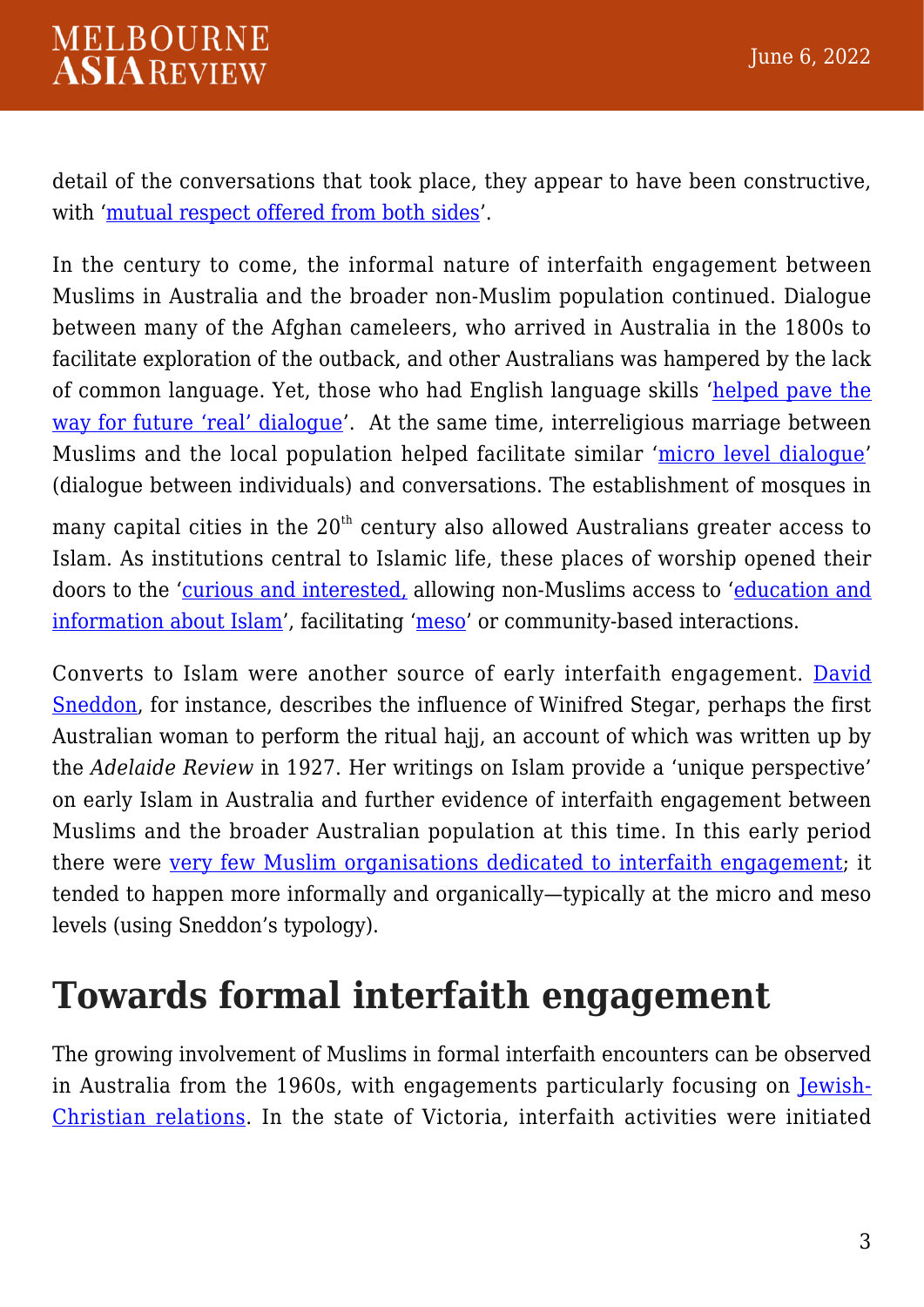detail of the conversations that took place, they appear to have been constructive, with ['mutual respect offered from both sides](https://ajis.com.au/index.php/ajis/article/view/109)'.

In the century to come, the informal nature of interfaith engagement between Muslims in Australia and the broader non-Muslim population continued. Dialogue between many of the Afghan cameleers, who arrived in Australia in the 1800s to facilitate exploration of the outback, and other Australians was hampered by the lack of common language. Yet, those who had English language skills ['helped pave the](https://ajis.com.au/index.php/ajis/article/view/109) [way for future 'real' dialogue](https://ajis.com.au/index.php/ajis/article/view/109)'. At the same time, interreligious marriage between Muslims and the local population helped facilitate similar '[micro level dialogue'](https://ajis.com.au/index.php/ajis/article/view/109) (dialogue between individuals) and conversations. The establishment of mosques in

many capital cities in the  $20<sup>th</sup>$  century also allowed Australians greater access to Islam. As institutions central to Islamic life, these places of worship opened their doors to the ['curious and interested,](https://ajis.com.au/index.php/ajis/article/view/109) allowing non-Muslims access to '[education and](https://ajis.com.au/index.php/ajis/article/view/109) [information about Islam](https://ajis.com.au/index.php/ajis/article/view/109)', facilitating ['meso](https://ajis.com.au/index.php/ajis/article/view/109)' or community-based interactions.

Converts to Islam were another source of early interfaith engagement. [David](https://ajis.com.au/index.php/ajis/article/view/109) [Sneddon,](https://ajis.com.au/index.php/ajis/article/view/109) for instance, describes the influence of Winifred Stegar, perhaps the first Australian woman to perform the ritual hajj, an account of which was written up by the *Adelaide Review* in 1927. Her writings on Islam provide a 'unique perspective' on early Islam in Australia and further evidence of interfaith engagement between Muslims and the broader Australian population at this time. In this early period there were [very few Muslim organisations dedicated to interfaith engagement](https://search.informit.org/doi/abs/10.3316/ielapa.533136390245484); it tended to happen more informally and organically—typically at the micro and meso levels (using Sneddon's typology).

#### **Towards formal interfaith engagement**

The growing involvement of Muslims in formal interfaith encounters can be observed in Australia from the 1960s, with engagements particularly focusing on [Jewish-](https://eprints.lancs.ac.uk/id/eprint/79228/)[Christian relations](https://eprints.lancs.ac.uk/id/eprint/79228/). In the state of Victoria, interfaith activities were initiated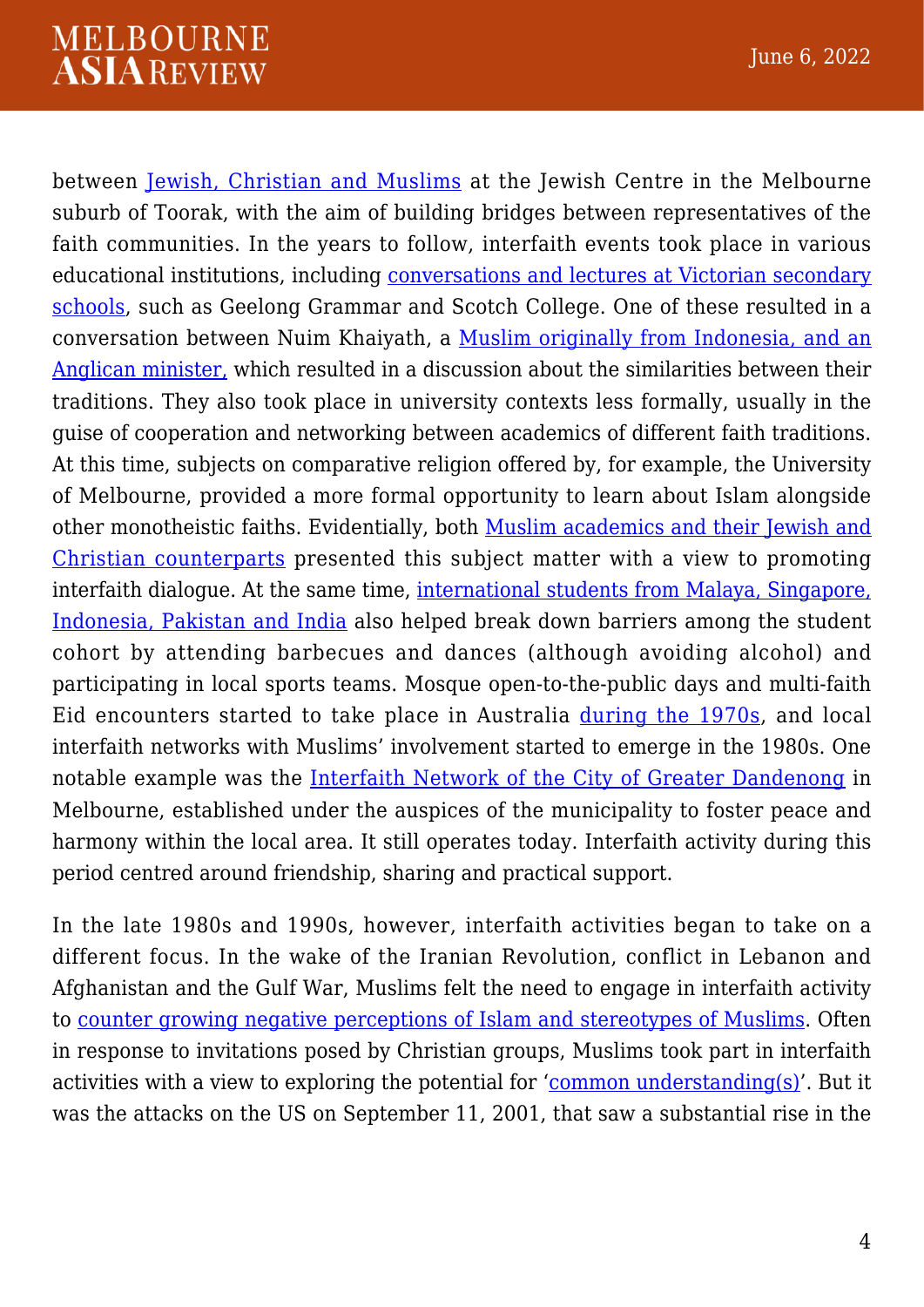#### **MELBOURNE ASIAREVIEW**

between [Jewish, Christian and Muslims](https://ajis.com.au/index.php/ajis/issue/view/7) at the Jewish Centre in the Melbourne suburb of Toorak, with the aim of building bridges between representatives of the faith communities. In the years to follow, interfaith events took place in various educational institutions, including [conversations and lectures at Victorian secondary](https://ajis.com.au/index.php/ajis/issue/view/7) [schools,](https://ajis.com.au/index.php/ajis/issue/view/7) such as Geelong Grammar and Scotch College. One of these resulted in a conversation between Nuim Khaiyath, a [Muslim originally from Indonesia, and an](https://ajis.com.au/index.php/ajis/issue/view/7) [Anglican minister,](https://ajis.com.au/index.php/ajis/issue/view/7) which resulted in a discussion about the similarities between their traditions. They also took place in university contexts less formally, usually in the guise of cooperation and networking between academics of different faith traditions. At this time, subjects on comparative religion offered by, for example, the University of Melbourne, provided a more formal opportunity to learn about Islam alongside other monotheistic faiths. Evidentially, both [Muslim academics and their Jewish and](https://ajis.com.au/index.php/ajis/issue/view/7) [Christian counterparts](https://ajis.com.au/index.php/ajis/issue/view/7) presented this subject matter with a view to promoting interfaith dialogue. At the same time, [international students from Malaya, Singapore,](https://www.slv.vic.gov.au/sites/default/files/La-Trobe-Journal-89-Hanifa-Deen.pdf) [Indonesia, Pakistan and India](https://www.slv.vic.gov.au/sites/default/files/La-Trobe-Journal-89-Hanifa-Deen.pdf) also helped break down barriers among the student cohort by attending barbecues and dances (although avoiding alcohol) and participating in local sports teams. Mosque open-to-the-public days and multi-faith Eid encounters started to take place in Australia [during the 1970s](https://ajis.com.au/index.php/ajis/issue/view/7), and local interfaith networks with Muslims' involvement started to emerge in the 1980s. One notable example was the [Interfaith Network of the City of Greater Dandenong](http://www.interfaithnetwork.org.au) in Melbourne, established under the auspices of the municipality to foster peace and harmony within the local area. It still operates today. Interfaith activity during this period centred around friendship, sharing and practical support.

In the late 1980s and 1990s, however, interfaith activities began to take on a different focus. In the wake of the Iranian Revolution, conflict in Lebanon and Afghanistan and the Gulf War, Muslims felt the need to engage in interfaith activity to [counter growing negative perceptions of Islam and stereotypes of Muslims.](https://www.tandfonline.com/doi/abs/10.1080/09596410.2011.606191) Often in response to invitations posed by Christian groups, Muslims took part in interfaith activities with a view to exploring the potential for '[common understanding\(s\)'](https://theconversation.com/9-11-fostering-connections-after-the-horror-3105). But it was the attacks on the US on September 11, 2001, that saw a substantial rise in the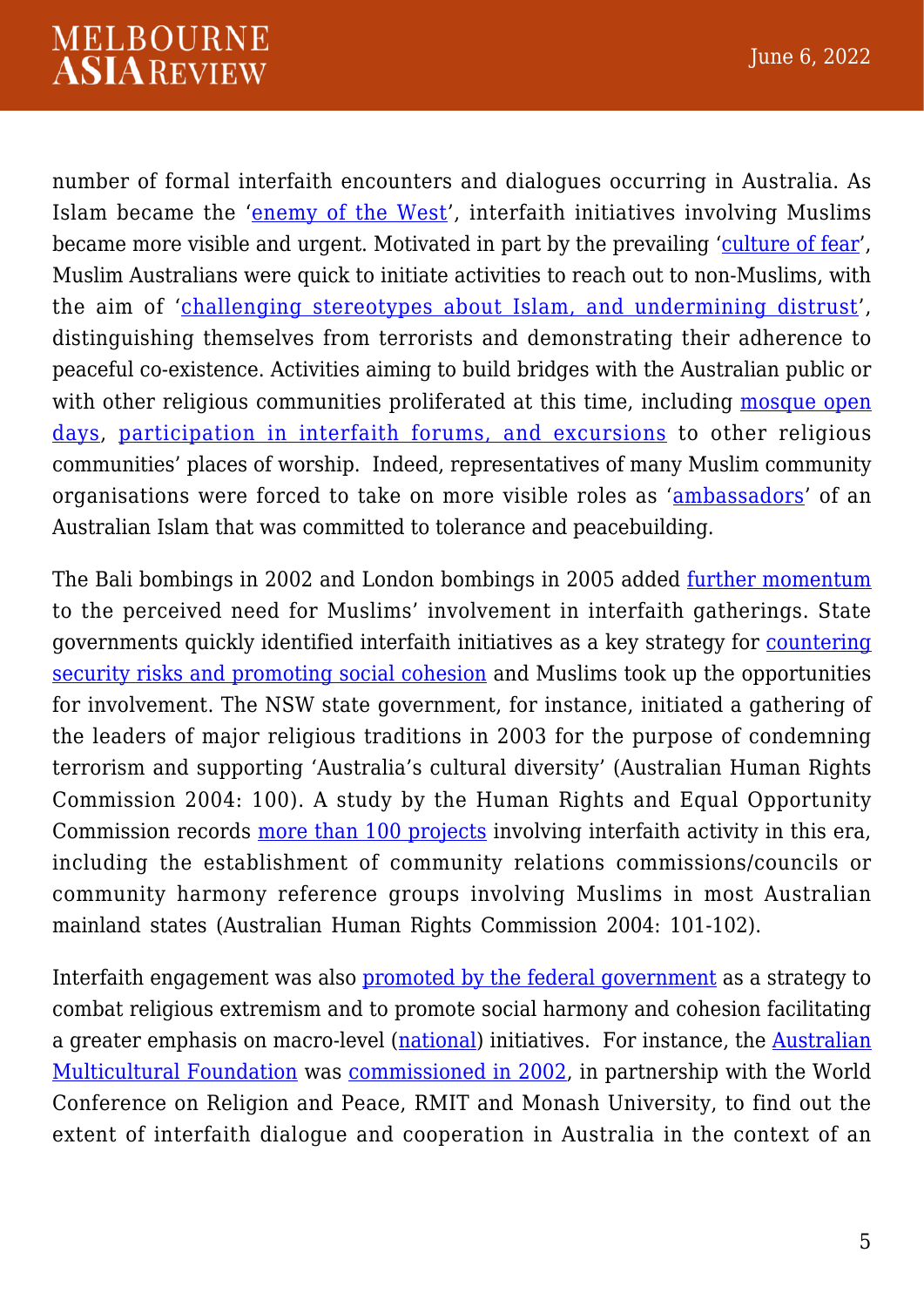number of formal interfaith encounters and dialogues occurring in Australia. As Islam became the '[enemy of the West](https://www.tandfonline.com/doi/abs/10.1080/09596410.2011.606191)', interfaith initiatives involving Muslims became more visible and urgent. Motivated in part by the prevailing '[culture of fear'](https://www.tandfonline.com/doi/abs/10.1080/09596410.2011.606191), Muslim Australians were quick to initiate activities to reach out to non-Muslims, with the aim of '[challenging stereotypes about Islam, and undermining distrust](https://www.westernsydney.edu.au/__data/assets/pdf_file/0003/990129/Sydney_Muslims_report.pdf)', distinguishing themselves from terrorists and demonstrating their adherence to peaceful co-existence. Activities aiming to build bridges with the Australian public or with other religious communities proliferated at this time, including [mosque open](https://www.westernsydney.edu.au/__data/assets/pdf_file/0003/990129/Sydney_Muslims_report.pdf) [days,](https://www.westernsydney.edu.au/__data/assets/pdf_file/0003/990129/Sydney_Muslims_report.pdf) [participation in interfaith forums, and excursions](https://search.informit.org/doi/abs/10.3316/ielapa.533136390245484) to other religious communities' places of worship. Indeed, representatives of many Muslim community organisations were forced to take on more visible roles as '[ambassadors'](https://search.informit.org/doi/abs/10.3316/ielapa.533136390245484) of an Australian Islam that was committed to tolerance and peacebuilding.

The Bali bombings in 2002 and London bombings in 2005 added [further momentum](https://vdoc.pub/documents/fear-of-muslims-international-perspectives-on-islamophobia-n9uidhr4vb80) to the perceived need for Muslims' involvement in interfaith gatherings. State governments quickly identified interfaith initiatives as a key strategy for [countering](https://web.s.ebscohost.com/abstract?direct=true&profile=ehost&scope=site&authtype=crawler&jrnl=21548641&AN=143815089&h=5ASJQE9AIAmGlW3diofgmvzxSbm6X7uULVcaPhTJII0t9vYjkVcgxUHS2XoWwQkxZn9bO1sl%2bea3F%2bdTtCqWUQ%3d%3d&crl=f&resultNs=AdminWebAuth&resultLocal=ErrCrlNotAuth&crlhashurl=login.aspx%3fdirect%3dtrue%26profile%3dehost%26scope%3dsite%26authtype%3dcrawler%26jrnl%3d21548641%26AN%3d143815089) [security risks and promoting social cohesion](https://web.s.ebscohost.com/abstract?direct=true&profile=ehost&scope=site&authtype=crawler&jrnl=21548641&AN=143815089&h=5ASJQE9AIAmGlW3diofgmvzxSbm6X7uULVcaPhTJII0t9vYjkVcgxUHS2XoWwQkxZn9bO1sl%2bea3F%2bdTtCqWUQ%3d%3d&crl=f&resultNs=AdminWebAuth&resultLocal=ErrCrlNotAuth&crlhashurl=login.aspx%3fdirect%3dtrue%26profile%3dehost%26scope%3dsite%26authtype%3dcrawler%26jrnl%3d21548641%26AN%3d143815089) and Muslims took up the opportunities for involvement. The NSW state government, for instance, initiated a gathering of the leaders of major religious traditions in 2003 for the purpose of condemning terrorism and supporting 'Australia's cultural diversity' (Australian Human Rights Commission 2004: 100). A study by the Human Rights and Equal Opportunity Commission records [more than 100 projects](https://www.tandfonline.com/doi/abs/10.1080/09637494.2013.769740) involving interfaith activity in this era, including the establishment of community relations commissions/councils or community harmony reference groups involving Muslims in most Australian mainland states (Australian Human Rights Commission 2004: 101-102).

Interfaith engagement was also [promoted by the federal government](https://amf.net.au/entry/religion-cultural-diversity-and-safeguarding-australia/) as a strategy to combat religious extremism and to promote social harmony and cohesion facilitating a greater emphasis on macro-level ([national](https://ajis.com.au/index.php/ajis/article/view/109)) initiatives. For instance, the [Australian](https://amf.net.au/entry/religion-cultural-diversity-and-safeguarding-australia) [Multicultural Foundation](https://amf.net.au/entry/religion-cultural-diversity-and-safeguarding-australia) was [commissioned in 2002](https://amf.net.au/entry/religion-cultural-diversity-and-safeguarding-australia/), in partnership with the World Conference on Religion and Peace, RMIT and Monash University, to find out the extent of interfaith dialogue and cooperation in Australia in the context of an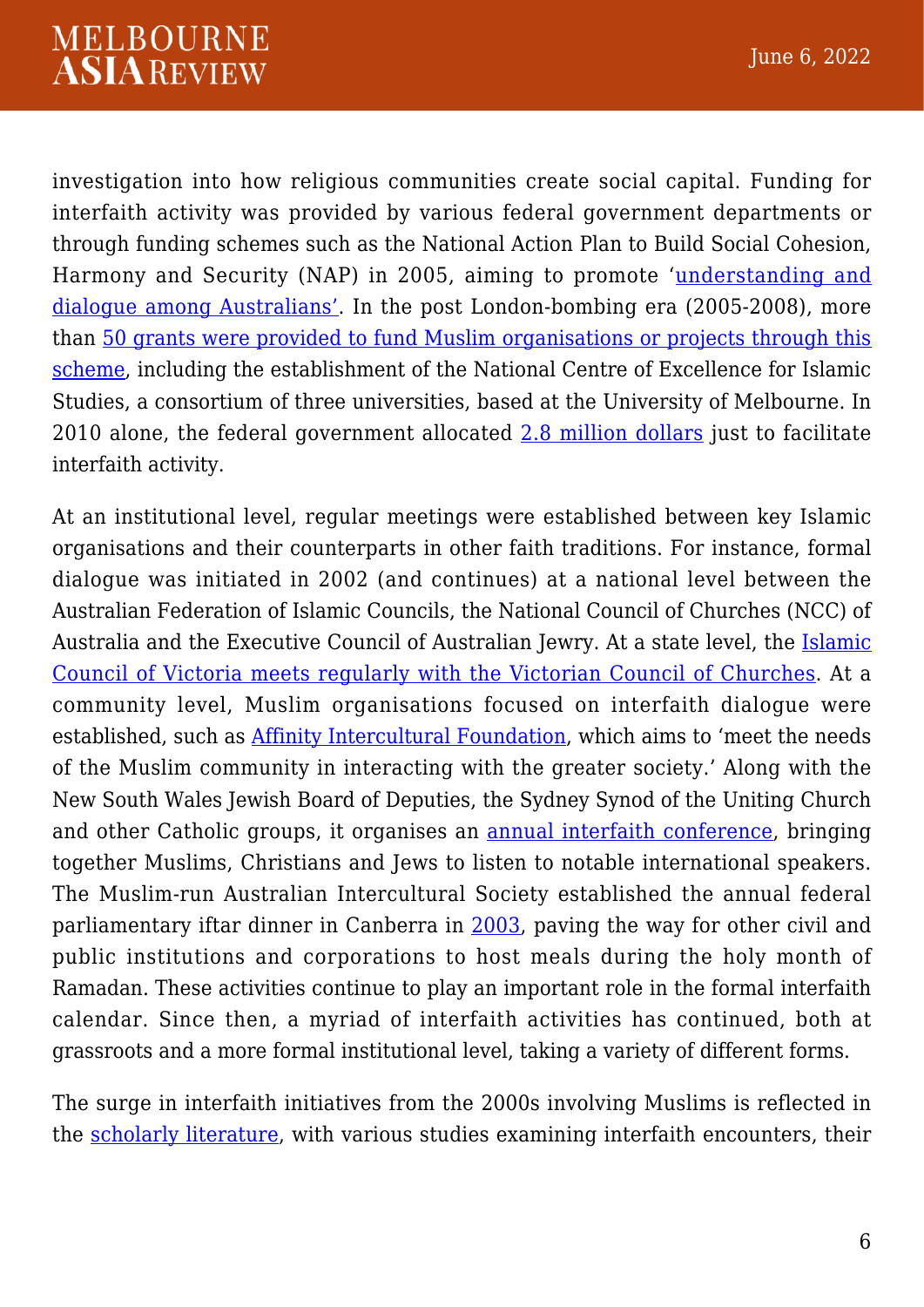investigation into how religious communities create social capital. Funding for interfaith activity was provided by various federal government departments or through funding schemes such as the National Action Plan to Build Social Cohesion, Harmony and Security (NAP) in 2005, aiming to promote '[understanding and](https://www.tandfonline.com/doi/abs/10.1080/09637494.2013.769740) [dialogue among Australians'](https://www.tandfonline.com/doi/abs/10.1080/09637494.2013.769740). In the post London-bombing era (2005-2008), more than [50 grants were provided to fund Muslim organisations or projects through this](https://www.tandfonline.com/doi/abs/10.1080/09637494.2013.769740) [scheme,](https://www.tandfonline.com/doi/abs/10.1080/09637494.2013.769740) including the establishment of the National Centre of Excellence for Islamic Studies, a consortium of three universities, based at the University of Melbourne. In 2010 alone, the federal government allocated [2.8 million dollars](https://web.s.ebscohost.com/abstract?direct=true&profile=ehost&scope=site&authtype=crawler&jrnl=21548641&AN=143815089&h=5ASJQE9AIAmGlW3diofgmvzxSbm6X7uULVcaPhTJII0t9vYjkVcgxUHS2XoWwQkxZn9bO1sl%2bea3F%2bdTtCqWUQ%3d%3d&crl=f&resultNs=AdminWebAuth&resultLocal=ErrCrlNotAuth&crlhashurl=login.aspx%3fdirect%3dtrue%26profile%3dehost%26scope%3dsite%26authtype%3dcrawler%26jrnl%3d21548641%26AN%3d143815089) just to facilitate interfaith activity.

At an institutional level, regular meetings were established between key Islamic organisations and their counterparts in other faith traditions. For instance, formal dialogue was initiated in 2002 (and continues) at a national level between the Australian Federation of Islamic Councils, the National Council of Churches (NCC) of Australia and the Executive Council of Australian Jewry. At a state level, the [Islamic](https://www.tandfonline.com/doi/abs/10.1080/09596410600795100) [Council of Victoria meets regularly with the Victorian Council of Churches.](https://www.tandfonline.com/doi/abs/10.1080/09596410600795100) At a community level, Muslim organisations focused on interfaith dialogue were established, such as [Affinity Intercultural Foundation,](https://affinity.org.au/about-us/our-history/) which aims to 'meet the needs of the Muslim community in interacting with the greater society.' Along with the New South Wales Jewish Board of Deputies, the Sydney Synod of the Uniting Church and other Catholic groups, it organises an [annual interfaith conference](https://www.tandfonline.com/doi/abs/10.1080/09596410600795100), bringing together Muslims, Christians and Jews to listen to notable international speakers. The Muslim-run Australian Intercultural Society established the annual federal parliamentary iftar dinner in Canberra in [2003](http://www.intercultural.org.au/history/), paving the way for other civil and public institutions and corporations to host meals during the holy month of Ramadan. These activities continue to play an important role in the formal interfaith calendar. Since then, a myriad of interfaith activities has continued, both at grassroots and a more formal institutional level, taking a variety of different forms.

The surge in interfaith initiatives from the 2000s involving Muslims is reflected in the [scholarly literature,](https://www.tandfonline.com/doi/abs/10.1080/09596410600795100) with various studies examining interfaith encounters, their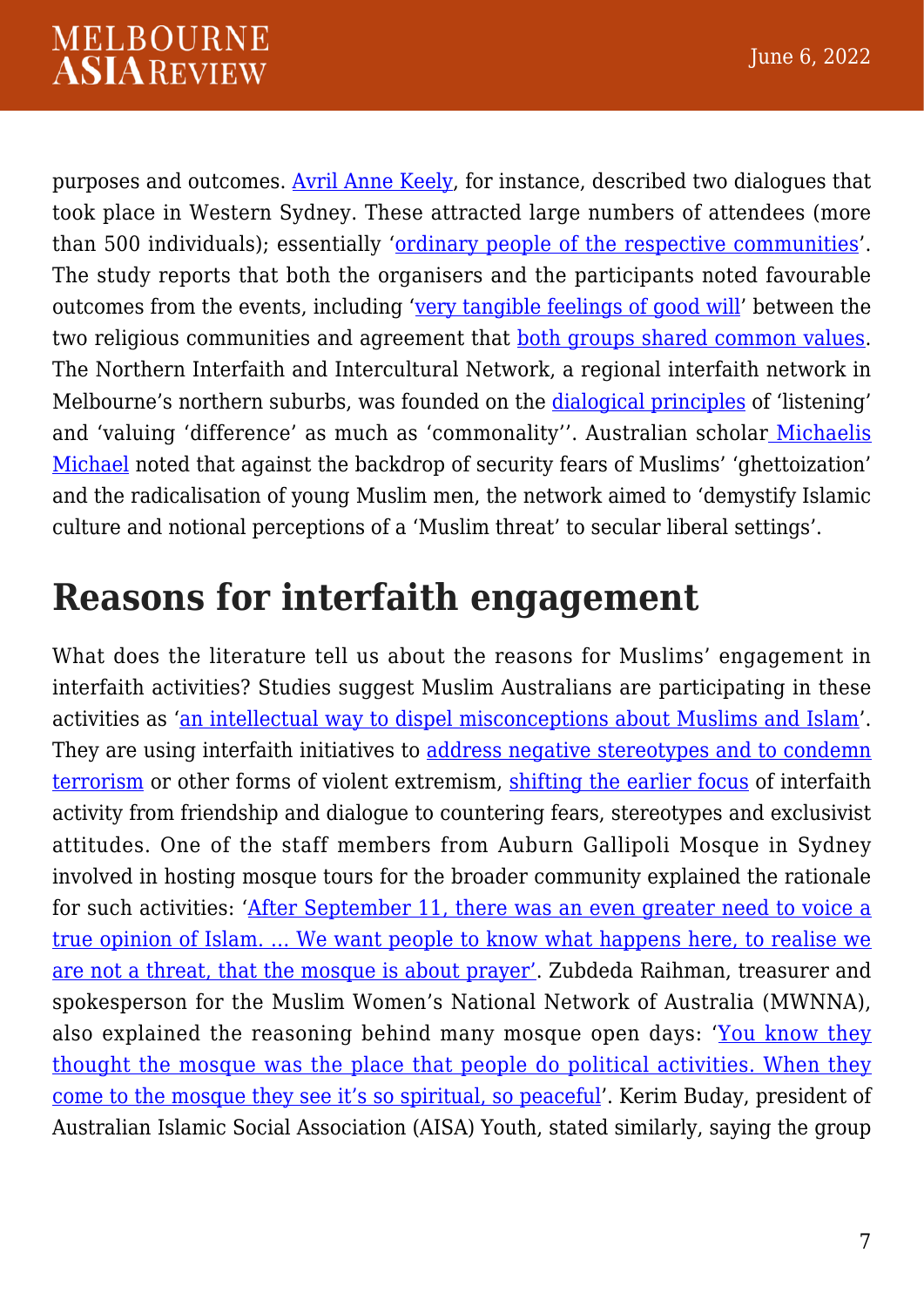purposes and outcomes. [Avril Anne Keely,](https://www.tandfonline.com/doi/abs/10.1080/09596410600795100) for instance, described two dialogues that took place in Western Sydney. These attracted large numbers of attendees (more than 500 individuals); essentially '[ordinary people of the respective communities'](https://www.tandfonline.com/doi/abs/10.1080/09596410600795100). The study reports that both the organisers and the participants noted favourable outcomes from the events, including ['very tangible feelings of good will](https://www.tandfonline.com/doi/abs/10.1080/09596410600795100)' between the two religious communities and agreement that [both groups shared common values.](https://www.tandfonline.com/doi/abs/10.1080/09596410600795100) The Northern Interfaith and Intercultural Network, a regional interfaith network in Melbourne's northern suburbs, was founded on the [dialogical principles](https://www.tandfonline.com/doi/abs/10.1080/09637494.2013.769740) of 'listening' and 'valuing 'difference' as much as 'commonality''. Australian scholar [Michaelis](https://www.tandfonline.com/doi/abs/10.1080/09637494.2013.769740) [Michael](https://www.tandfonline.com/doi/abs/10.1080/09637494.2013.769740) noted that against the backdrop of security fears of Muslims' 'ghettoization' and the radicalisation of young Muslim men, the network aimed to 'demystify Islamic culture and notional perceptions of a 'Muslim threat' to secular liberal settings'.

### **Reasons for interfaith engagement**

What does the literature tell us about the reasons for Muslims' engagement in interfaith activities? Studies suggest Muslim Australians are participating in these activities as '[an intellectual way to dispel misconceptions about Muslims and Islam'](https://search.informit.org/doi/abs/10.3316/ielapa.533136390245484). They are using interfaith initiatives to [address negative stereotypes and to condemn](https://www.tandfonline.com/doi/abs/10.1080/09596410.2011.606191) [terrorism](https://www.tandfonline.com/doi/abs/10.1080/09596410.2011.606191) or other forms of violent extremism, [shifting the earlier focus](https://www.tandfonline.com/doi/abs/10.1080/09596410.2011.606191) of interfaith activity from friendship and dialogue to countering fears, stereotypes and exclusivist attitudes. One of the staff members from Auburn Gallipoli Mosque in Sydney involved in hosting mosque tours for the broader community explained the rationale for such activities: '[After September 11, there was an even greater need to voice a](https://www.smh.com.au/national/curiosity-call-to-a-house-of-prayer-20081213-gdt6ge.html) [true opinion of Islam. … We want people to know what happens here, to realise we](https://www.smh.com.au/national/curiosity-call-to-a-house-of-prayer-20081213-gdt6ge.html) [are not a threat, that the mosque is about prayer'.](https://www.smh.com.au/national/curiosity-call-to-a-house-of-prayer-20081213-gdt6ge.html) Zubdeda Raihman, treasurer and spokesperson for the Muslim Women's National Network of Australia (MWNNA), also explained the reasoning behind many mosque open days: '[You know they](https://search.informit.org/doi/abs/10.3316/ielapa.533136390245484) [thought the mosque was the place that people do political activities. When they](https://search.informit.org/doi/abs/10.3316/ielapa.533136390245484) [come to the mosque they see it's so spiritual, so peaceful](https://search.informit.org/doi/abs/10.3316/ielapa.533136390245484)'. Kerim Buday, president of Australian Islamic Social Association (AISA) Youth, stated similarly, saying the group